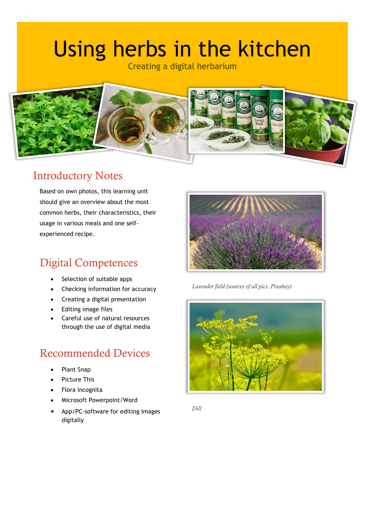# Using herbs in the kitchen

Creating a digital herbarium



#### Introductory Notes

Based on own photos, this learning unit should give an overview about the most common herbs, their characteristics, their usage in various meals and one selfexperienced recipe.

## Digital Competences

- Selection of suitable apps
- Checking information for accuracy
- Creating a digital presentation
- Editing image files
- Careful use of natural resources through the use of digital media

#### Recommended Devices

- Plant Snap
- Picture This
- Flora Incognita
- Microsoft Powerpoint/Word
- App/PC-software for editing images digitally



*Lavender field (sources of all pics: Pixabay)*



*Dill*